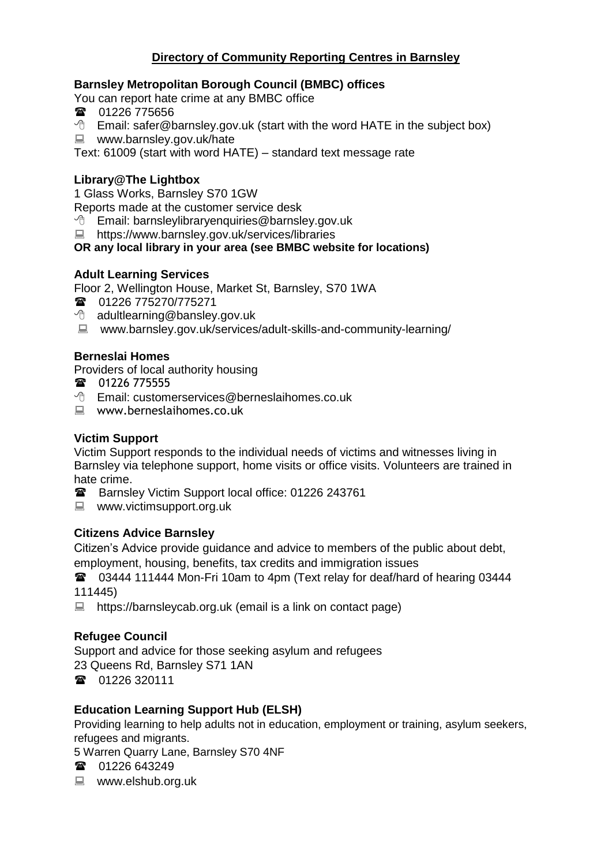## **Directory of Community Reporting Centres in Barnsley**

### **Barnsley Metropolitan Borough Council (BMBC) offices**

You can report hate crime at any BMBC office

- 01226 775656
- <sup>t</sup> Email: safer@barnsley.gov.uk (start with the word HATE in the subject box)
- www.barnsley.gov.uk/hate

Text: 61009 (start with word HATE) – standard text message rate

### **Library@The Lightbox**

1 Glass Works, Barnsley S70 1GW

Reports made at the customer service desk

<sup>t</sup> Email: barnsleylibraryenquiries@barnsley.gov.uk

■ https://www.barnsley.gov.uk/services/libraries

#### **OR any local library in your area (see BMBC website for locations)**

#### **Adult Learning Services**

Floor 2, Wellington House, Market St, Barnsley, S70 1WA

- **雷** 01226 775270/775271
- $\Theta$  adultlearning@bansley.gov.uk
- www.barnsley.gov.uk/services/adult-skills-and-community-learning/

#### **Berneslai Homes**

Providers of local authority housing

- **雷** 01226 775555
- Email: customerservices@berneslaihomes.co.uk
- www.berneslaihomes.co.uk

#### **Victim Support**

Victim Support responds to the individual needs of victims and witnesses living in Barnsley via telephone support, home visits or office visits. Volunteers are trained in hate crime.

- Barnsley Victim Support local office: 01226 243761
- www.victimsupport.org.uk

### **Citizens Advice Barnsley**

Citizen's Advice provide guidance and advice to members of the public about debt, employment, housing, benefits, tax credits and immigration issues

03444 111444 Mon-Fri 10am to 4pm (Text relay for deaf/hard of hearing 03444 111445)

■ https://barnsleycab.org.uk (email is a link on contact page)

### **Refugee Council**

Support and advice for those seeking asylum and refugees

23 Queens Rd, Barnsley S71 1AN

■ 01226 320111

### **Education Learning Support Hub (ELSH)**

Providing learning to help adults not in education, employment or training, asylum seekers, refugees and migrants.

5 Warren Quarry Lane, Barnsley S70 4NF

- 01226 643249
- www.elshub.org.uk